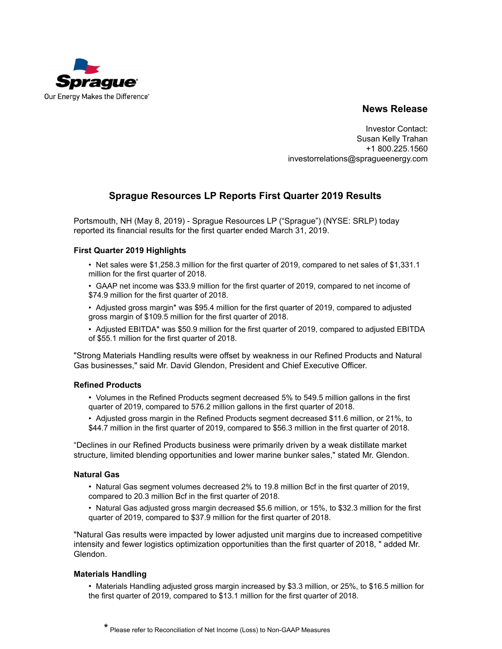

# **News Release**

Investor Contact: Susan Kelly Trahan +1 800.225.1560 investorrelations@spragueenergy.com

# **Sprague Resources LP Reports First Quarter 2019 Results**

Portsmouth, NH (May 8, 2019) - Sprague Resources LP ("Sprague") (NYSE: SRLP) today reported its financial results for the first quarter ended March 31, 2019.

# **First Quarter 2019 Highlights**

- Net sales were \$1,258.3 million for the first quarter of 2019, compared to net sales of \$1,331.1 million for the first quarter of 2018.
- GAAP net income was \$33.9 million for the first quarter of 2019, compared to net income of \$74.9 million for the first quarter of 2018.
- Adjusted gross margin\* was \$95.4 million for the first quarter of 2019, compared to adjusted gross margin of \$109.5 million for the first quarter of 2018.
- Adjusted EBITDA\* was \$50.9 million for the first quarter of 2019, compared to adjusted EBITDA of \$55.1 million for the first quarter of 2018.

"Strong Materials Handling results were offset by weakness in our Refined Products and Natural Gas businesses," said Mr. David Glendon, President and Chief Executive Officer.

## **Refined Products**

- Volumes in the Refined Products segment decreased 5% to 549.5 million gallons in the first quarter of 2019, compared to 576.2 million gallons in the first quarter of 2018.
- Adjusted gross margin in the Refined Products segment decreased \$11.6 million, or 21%, to \$44.7 million in the first quarter of 2019, compared to \$56.3 million in the first quarter of 2018.

"Declines in our Refined Products business were primarily driven by a weak distillate market structure, limited blending opportunities and lower marine bunker sales," stated Mr. Glendon.

## **Natural Gas**

- Natural Gas segment volumes decreased 2% to 19.8 million Bcf in the first quarter of 2019, compared to 20.3 million Bcf in the first quarter of 2018.
- Natural Gas adjusted gross margin decreased \$5.6 million, or 15%, to \$32.3 million for the first quarter of 2019, compared to \$37.9 million for the first quarter of 2018.

"Natural Gas results were impacted by lower adjusted unit margins due to increased competitive intensity and fewer logistics optimization opportunities than the first quarter of 2018, " added Mr. Glendon.

## **Materials Handling**

• Materials Handling adjusted gross margin increased by \$3.3 million, or 25%, to \$16.5 million for the first quarter of 2019, compared to \$13.1 million for the first quarter of 2018.

Please refer to Reconciliation of Net Income (Loss) to Non-GAAP Measures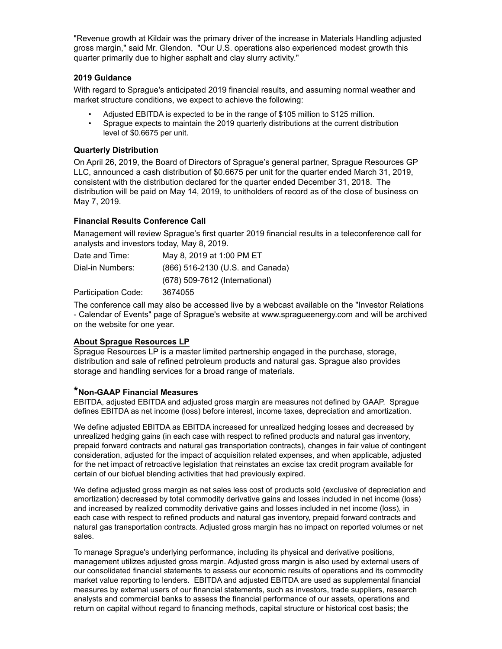"Revenue growth at Kildair was the primary driver of the increase in Materials Handling adjusted gross margin," said Mr. Glendon. "Our U.S. operations also experienced modest growth this quarter primarily due to higher asphalt and clay slurry activity."

## **2019 Guidance**

With regard to Sprague's anticipated 2019 financial results, and assuming normal weather and market structure conditions, we expect to achieve the following:

- Adjusted EBITDA is expected to be in the range of \$105 million to \$125 million.
- Sprague expects to maintain the 2019 quarterly distributions at the current distribution level of \$0.6675 per unit.

## **Quarterly Distribution**

On April 26, 2019, the Board of Directors of Sprague's general partner, Sprague Resources GP LLC, announced a cash distribution of \$0.6675 per unit for the quarter ended March 31, 2019, consistent with the distribution declared for the quarter ended December 31, 2018. The distribution will be paid on May 14, 2019, to unitholders of record as of the close of business on May 7, 2019.

## **Financial Results Conference Call**

Management will review Sprague's first quarter 2019 financial results in a teleconference call for analysts and investors today, May 8, 2019.

| Date and Time:      | May 8, 2019 at 1:00 PM ET        |
|---------------------|----------------------------------|
| Dial-in Numbers:    | (866) 516-2130 (U.S. and Canada) |
|                     | (678) 509-7612 (International)   |
| Participation Code: | 3674055                          |

The conference call may also be accessed live by a webcast available on the "Investor Relations - Calendar of Events" page of Sprague's website at www.spragueenergy.com and will be archived on the website for one year.

## **About Sprague Resources LP**

Sprague Resources LP is a master limited partnership engaged in the purchase, storage, distribution and sale of refined petroleum products and natural gas. Sprague also provides storage and handling services for a broad range of materials.

# **\*Non-GAAP Financial Measures**

EBITDA, adjusted EBITDA and adjusted gross margin are measures not defined by GAAP. Sprague defines EBITDA as net income (loss) before interest, income taxes, depreciation and amortization.

We define adjusted EBITDA as EBITDA increased for unrealized hedging losses and decreased by unrealized hedging gains (in each case with respect to refined products and natural gas inventory, prepaid forward contracts and natural gas transportation contracts), changes in fair value of contingent consideration, adjusted for the impact of acquisition related expenses, and when applicable, adjusted for the net impact of retroactive legislation that reinstates an excise tax credit program available for certain of our biofuel blending activities that had previously expired.

We define adjusted gross margin as net sales less cost of products sold (exclusive of depreciation and amortization) decreased by total commodity derivative gains and losses included in net income (loss) and increased by realized commodity derivative gains and losses included in net income (loss), in each case with respect to refined products and natural gas inventory, prepaid forward contracts and natural gas transportation contracts. Adjusted gross margin has no impact on reported volumes or net sales.

To manage Sprague's underlying performance, including its physical and derivative positions, management utilizes adjusted gross margin. Adjusted gross margin is also used by external users of our consolidated financial statements to assess our economic results of operations and its commodity market value reporting to lenders. EBITDA and adjusted EBITDA are used as supplemental financial measures by external users of our financial statements, such as investors, trade suppliers, research analysts and commercial banks to assess the financial performance of our assets, operations and return on capital without regard to financing methods, capital structure or historical cost basis; the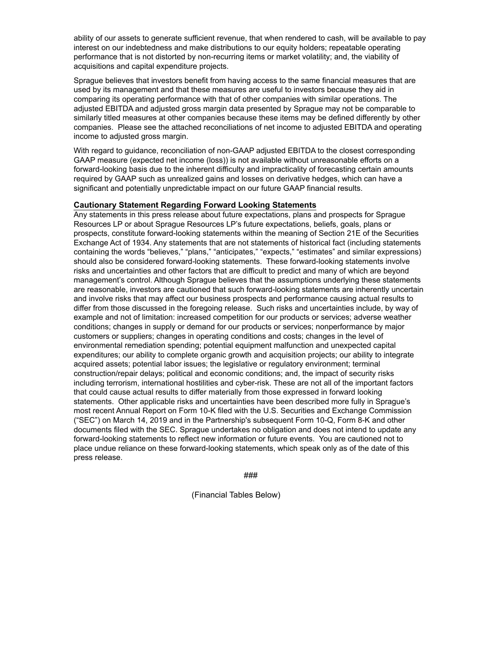ability of our assets to generate sufficient revenue, that when rendered to cash, will be available to pay interest on our indebtedness and make distributions to our equity holders; repeatable operating performance that is not distorted by non-recurring items or market volatility; and, the viability of acquisitions and capital expenditure projects.

Sprague believes that investors benefit from having access to the same financial measures that are used by its management and that these measures are useful to investors because they aid in comparing its operating performance with that of other companies with similar operations. The adjusted EBITDA and adjusted gross margin data presented by Sprague may not be comparable to similarly titled measures at other companies because these items may be defined differently by other companies. Please see the attached reconciliations of net income to adjusted EBITDA and operating income to adjusted gross margin.

With regard to guidance, reconciliation of non-GAAP adjusted EBITDA to the closest corresponding GAAP measure (expected net income (loss)) is not available without unreasonable efforts on a forward-looking basis due to the inherent difficulty and impracticality of forecasting certain amounts required by GAAP such as unrealized gains and losses on derivative hedges, which can have a significant and potentially unpredictable impact on our future GAAP financial results.

#### **Cautionary Statement Regarding Forward Looking Statements**

Any statements in this press release about future expectations, plans and prospects for Sprague Resources LP or about Sprague Resources LP's future expectations, beliefs, goals, plans or prospects, constitute forward-looking statements within the meaning of Section 21E of the Securities Exchange Act of 1934. Any statements that are not statements of historical fact (including statements containing the words "believes," "plans," "anticipates," "expects," "estimates" and similar expressions) should also be considered forward-looking statements. These forward-looking statements involve risks and uncertainties and other factors that are difficult to predict and many of which are beyond management's control. Although Sprague believes that the assumptions underlying these statements are reasonable, investors are cautioned that such forward-looking statements are inherently uncertain and involve risks that may affect our business prospects and performance causing actual results to differ from those discussed in the foregoing release. Such risks and uncertainties include, by way of example and not of limitation: increased competition for our products or services; adverse weather conditions; changes in supply or demand for our products or services; nonperformance by major customers or suppliers; changes in operating conditions and costs; changes in the level of environmental remediation spending; potential equipment malfunction and unexpected capital expenditures; our ability to complete organic growth and acquisition projects; our ability to integrate acquired assets; potential labor issues; the legislative or regulatory environment; terminal construction/repair delays; political and economic conditions; and, the impact of security risks including terrorism, international hostilities and cyber-risk. These are not all of the important factors that could cause actual results to differ materially from those expressed in forward looking statements. Other applicable risks and uncertainties have been described more fully in Sprague's most recent Annual Report on Form 10-K filed with the U.S. Securities and Exchange Commission ("SEC") on March 14, 2019 and in the Partnership's subsequent Form 10-Q, Form 8-K and other documents filed with the SEC. Sprague undertakes no obligation and does not intend to update any forward-looking statements to reflect new information or future events. You are cautioned not to place undue reliance on these forward-looking statements, which speak only as of the date of this press release.

###

(Financial Tables Below)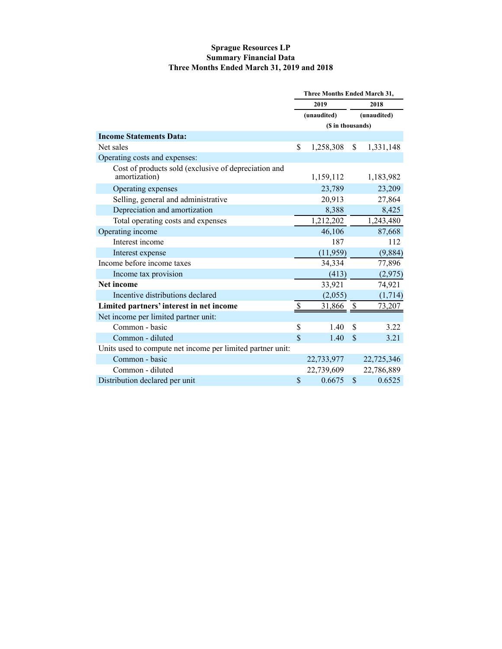# **Sprague Resources LP Summary Financial Data Three Months Ended March 31, 2019 and 2018**

|                                                                       | Three Months Ended March 31, |            |                     |            |
|-----------------------------------------------------------------------|------------------------------|------------|---------------------|------------|
|                                                                       | 2019<br>(unaudited)          |            | 2018<br>(unaudited) |            |
|                                                                       |                              |            |                     |            |
|                                                                       | (\$ in thousands)            |            |                     |            |
| <b>Income Statements Data:</b>                                        |                              |            |                     |            |
| Net sales                                                             | \$                           | 1,258,308  | \$                  | 1,331,148  |
| Operating costs and expenses:                                         |                              |            |                     |            |
| Cost of products sold (exclusive of depreciation and<br>amortization) |                              | 1,159,112  |                     | 1,183,982  |
| Operating expenses                                                    |                              | 23,789     |                     | 23,209     |
| Selling, general and administrative                                   |                              | 20,913     |                     | 27,864     |
| Depreciation and amortization                                         |                              | 8,388      |                     | 8,425      |
| Total operating costs and expenses                                    |                              | 1,212,202  |                     | 1,243,480  |
| Operating income                                                      |                              | 46,106     |                     | 87,668     |
| Interest income                                                       |                              | 187        |                     | 112        |
| Interest expense                                                      |                              | (11, 959)  |                     | (9,884)    |
| Income before income taxes                                            |                              | 34,334     |                     | 77,896     |
| Income tax provision                                                  |                              | (413)      |                     | (2,975)    |
| Net income                                                            |                              | 33,921     |                     | 74,921     |
| Incentive distributions declared                                      |                              | (2,055)    |                     | (1,714)    |
| Limited partners' interest in net income                              | \$                           | 31,866     | -S                  | 73,207     |
| Net income per limited partner unit:                                  |                              |            |                     |            |
| Common - basic                                                        | \$                           | 1.40       | \$                  | 3.22       |
| Common - diluted                                                      | \$                           | 1.40       | \$                  | 3.21       |
| Units used to compute net income per limited partner unit:            |                              |            |                     |            |
| Common - basic                                                        |                              | 22,733,977 |                     | 22,725,346 |
| Common - diluted                                                      |                              | 22,739,609 |                     | 22,786,889 |
| Distribution declared per unit                                        | \$                           | 0.6675     | $\mathbf{\$}$       | 0.6525     |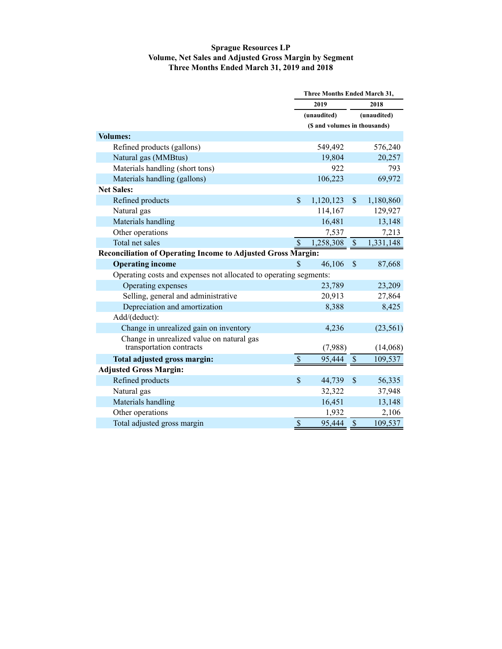# **Sprague Resources LP Volume, Net Sales and Adjusted Gross Margin by Segment Three Months Ended March 31, 2019 and 2018**

|                                                                   |                      | <b>Three Months Ended March 31,</b> |                           |                     |  |
|-------------------------------------------------------------------|----------------------|-------------------------------------|---------------------------|---------------------|--|
|                                                                   |                      | 2019<br>(unaudited)                 |                           | 2018<br>(unaudited) |  |
|                                                                   |                      |                                     |                           |                     |  |
|                                                                   |                      | (\$ and volumes in thousands)       |                           |                     |  |
| <b>Volumes:</b>                                                   |                      |                                     |                           |                     |  |
| Refined products (gallons)                                        |                      | 549,492                             |                           | 576,240             |  |
| Natural gas (MMBtus)                                              |                      | 19,804                              |                           | 20,257              |  |
| Materials handling (short tons)                                   |                      | 922                                 |                           | 793                 |  |
| Materials handling (gallons)                                      |                      | 106,223                             |                           | 69,972              |  |
| <b>Net Sales:</b>                                                 |                      |                                     |                           |                     |  |
| Refined products                                                  | $\mathsf{\$}$        | 1,120,123                           | \$                        | 1,180,860           |  |
| Natural gas                                                       |                      | 114,167                             |                           | 129,927             |  |
| Materials handling                                                |                      | 16,481                              |                           | 13,148              |  |
| Other operations                                                  |                      | 7,537                               |                           | 7,213               |  |
| Total net sales                                                   | \$                   | 1,258,308                           | $\mathcal{S}$             | 1,331,148           |  |
| Reconciliation of Operating Income to Adjusted Gross Margin:      |                      |                                     |                           |                     |  |
| <b>Operating income</b>                                           | $\mathbf{\$}$        | 46,106                              | \$                        | 87,668              |  |
| Operating costs and expenses not allocated to operating segments: |                      |                                     |                           |                     |  |
| Operating expenses                                                |                      | 23,789                              |                           | 23,209              |  |
| Selling, general and administrative                               |                      | 20,913                              |                           | 27,864              |  |
| Depreciation and amortization                                     |                      | 8,388                               |                           | 8,425               |  |
| Add/(deduct):                                                     |                      |                                     |                           |                     |  |
| Change in unrealized gain on inventory                            |                      | 4,236                               |                           | (23, 561)           |  |
| Change in unrealized value on natural gas                         |                      |                                     |                           |                     |  |
| transportation contracts                                          |                      | (7,988)                             |                           | (14,068)            |  |
| Total adjusted gross margin:                                      | $\mathcal{S}$        | 95,444                              | $\boldsymbol{\mathsf{S}}$ | 109,537             |  |
| <b>Adjusted Gross Margin:</b>                                     |                      |                                     |                           |                     |  |
| Refined products                                                  | \$                   | 44,739                              | \$                        | 56,335              |  |
| Natural gas                                                       |                      | 32,322                              |                           | 37,948              |  |
| Materials handling                                                |                      | 16,451                              |                           | 13,148              |  |
| Other operations                                                  |                      | 1,932                               |                           | 2,106               |  |
| Total adjusted gross margin                                       | $\sqrt{\frac{1}{2}}$ | 95,444                              | $\mathbb{S}$              | 109,537             |  |